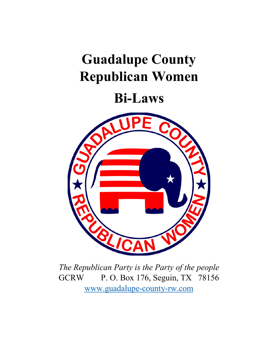# **Guadalupe County Republican Women**

# **Bi-Laws**



*The Republican Party is the Party of the people*  GCRW P. O. Box 176, Seguin, TX 78156 [www.guadalupe-county-rw.com](http://www.guadalupe-county-rw.com/)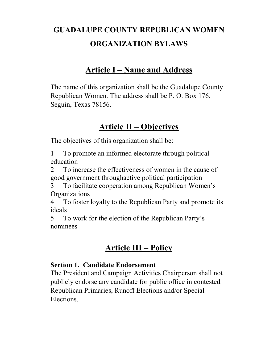# **GUADALUPE COUNTY REPUBLICAN WOMEN ORGANIZATION BYLAWS**

## **Article I – Name and Address**

The name of this organization shall be the Guadalupe County Republican Women. The address shall be P. O. Box 176, Seguin, Texas 78156.

## **Article II – Objectives**

The objectives of this organization shall be:

1 To promote an informed electorate through political education

2 To increase the effectiveness of women in the cause of good government throughactive political participation

3 To facilitate cooperation among Republican Women's **Organizations** 

4 To foster loyalty to the Republican Party and promote its ideals

5 To work for the election of the Republican Party's nominees

## **Article III – Policy**

#### **Section 1. Candidate Endorsement**

The President and Campaign Activities Chairperson shall not publicly endorse any candidate for public office in contested Republican Primaries, Runoff Elections and/or Special Elections.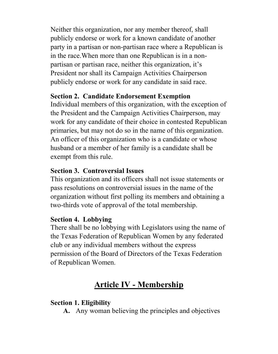Neither this organization, nor any member thereof, shall publicly endorse or work for a known candidate of another party in a partisan or non-partisan race where a Republican is in the race.When more than one Republican is in a nonpartisan or partisan race, neither this organization, it's President nor shall its Campaign Activities Chairperson publicly endorse or work for any candidate in said race.

#### **Section 2. Candidate Endorsement Exemption**

Individual members of this organization, with the exception of the President and the Campaign Activities Chairperson, may work for any candidate of their choice in contested Republican primaries, but may not do so in the name of this organization. An officer of this organization who is a candidate or whose husband or a member of her family is a candidate shall be exempt from this rule.

### **Section 3. Controversial Issues**

This organization and its officers shall not issue statements or pass resolutions on controversial issues in the name of the organization without first polling its members and obtaining a two-thirds vote of approval of the total membership.

### **Section 4. Lobbying**

There shall be no lobbying with Legislators using the name of the Texas Federation of Republican Women by any federated club or any individual members without the express permission of the Board of Directors of the Texas Federation of Republican Women.

# **Article IV - Membership**

## **Section 1. Eligibility**

**A.** Any woman believing the principles and objectives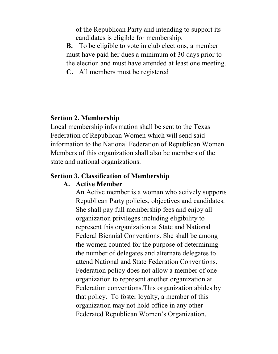of the Republican Party and intending to support its candidates is eligible for membership.

**B.** To be eligible to vote in club elections, a member must have paid her dues a minimum of 30 days prior to the election and must have attended at least one meeting.

**C.** All members must be registered

#### **Section 2. Membership**

Local membership information shall be sent to the Texas Federation of Republican Women which will send said information to the National Federation of Republican Women. Members of this organization shall also be members of the state and national organizations.

#### **Section 3. Classification of Membership**

#### **A. Active Member**

An Active member is a woman who actively supports Republican Party policies, objectives and candidates. She shall pay full membership fees and enjoy all organization privileges including eligibility to represent this organization at State and National Federal Biennial Conventions. She shall be among the women counted for the purpose of determining the number of delegates and alternate delegates to attend National and State Federation Conventions. Federation policy does not allow a member of one organization to represent another organization at Federation conventions.This organization abides by that policy. To foster loyalty, a member of this organization may not hold office in any other Federated Republican Women's Organization.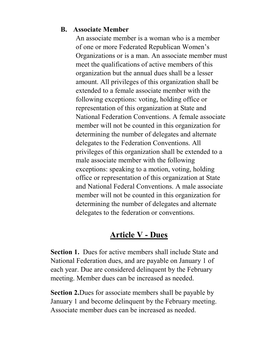#### **B. Associate Member**

An associate member is a woman who is a member of one or more Federated Republican Women's Organizations or is a man. An associate member must meet the qualifications of active members of this organization but the annual dues shall be a lesser amount. All privileges of this organization shall be extended to a female associate member with the following exceptions: voting, holding office or representation of this organization at State and National Federation Conventions. A female associate member will not be counted in this organization for determining the number of delegates and alternate delegates to the Federation Conventions. All privileges of this organization shall be extended to a male associate member with the following exceptions: speaking to a motion, voting, holding office or representation of this organization at State and National Federal Conventions. A male associate member will not be counted in this organization for determining the number of delegates and alternate delegates to the federation or conventions.

## **Article V - Dues**

**Section 1.** Dues for active members shall include State and National Federation dues, and are payable on January 1 of each year. Due are considered delinquent by the February meeting. Member dues can be increased as needed.

**Section 2.**Dues for associate members shall be payable by January 1 and become delinquent by the February meeting. Associate member dues can be increased as needed.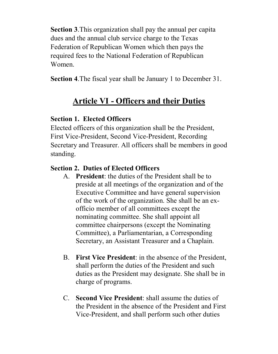**Section 3**.This organization shall pay the annual per capita dues and the annual club service charge to the Texas Federation of Republican Women which then pays the required fees to the National Federation of Republican Women.

**Section 4**.The fiscal year shall be January 1 to December 31.

# **Article VI - Officers and their Duties**

### **Section 1. Elected Officers**

Elected officers of this organization shall be the President, First Vice-President, Second Vice-President, Recording Secretary and Treasurer. All officers shall be members in good standing.

### **Section 2. Duties of Elected Officers**

- A. **President**: the duties of the President shall be to preside at all meetings of the organization and of the Executive Committee and have general supervision of the work of the organization. She shall be an exofficio member of all committees except the nominating committee. She shall appoint all committee chairpersons (except the Nominating Committee), a Parliamentarian, a Corresponding Secretary, an Assistant Treasurer and a Chaplain.
- B. **First Vice President**: in the absence of the President, shall perform the duties of the President and such duties as the President may designate. She shall be in charge of programs.
- C. **Second Vice President**: shall assume the duties of the President in the absence of the President and First Vice-President, and shall perform such other duties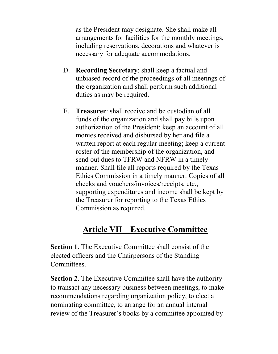as the President may designate. She shall make all arrangements for facilities for the monthly meetings, including reservations, decorations and whatever is necessary for adequate accommodations.

- D. **Recording Secretary**: shall keep a factual and unbiased record of the proceedings of all meetings of the organization and shall perform such additional duties as may be required.
- E. **Treasurer**: shall receive and be custodian of all funds of the organization and shall pay bills upon authorization of the President; keep an account of all monies received and disbursed by her and file a written report at each regular meeting; keep a current roster of the membership of the organization, and send out dues to TFRW and NFRW in a timely manner. Shall file all reports required by the Texas Ethics Commission in a timely manner. Copies of all checks and vouchers/invoices/receipts, etc., supporting expenditures and income shall be kept by the Treasurer for reporting to the Texas Ethics Commission as required.

# **Article VII – Executive Committee**

**Section 1**. The Executive Committee shall consist of the elected officers and the Chairpersons of the Standing Committees.

**Section 2**. The Executive Committee shall have the authority to transact any necessary business between meetings, to make recommendations regarding organization policy, to elect a nominating committee, to arrange for an annual internal review of the Treasurer's books by a committee appointed by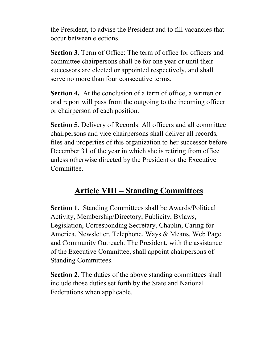the President, to advise the President and to fill vacancies that occur between elections.

**Section 3**. Term of Office: The term of office for officers and committee chairpersons shall be for one year or until their successors are elected or appointed respectively, and shall serve no more than four consecutive terms.

**Section 4.** At the conclusion of a term of office, a written or oral report will pass from the outgoing to the incoming officer or chairperson of each position.

**Section 5**. Delivery of Records: All officers and all committee chairpersons and vice chairpersons shall deliver all records, files and properties of this organization to her successor before December 31 of the year in which she is retiring from office unless otherwise directed by the President or the Executive Committee.

# **Article VIII – Standing Committees**

**Section 1.** Standing Committees shall be Awards/Political Activity, Membership/Directory, Publicity, Bylaws, Legislation, Corresponding Secretary, Chaplin, Caring for America, Newsletter, Telephone, Ways & Means, Web Page and Community Outreach. The President, with the assistance of the Executive Committee, shall appoint chairpersons of Standing Committees.

**Section 2.** The duties of the above standing committees shall include those duties set forth by the State and National Federations when applicable.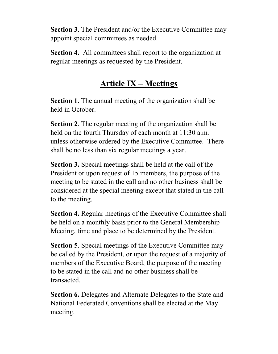**Section 3**. The President and/or the Executive Committee may appoint special committees as needed.

**Section 4.** All committees shall report to the organization at regular meetings as requested by the President.

## **Article IX – Meetings**

**Section 1.** The annual meeting of the organization shall be held in October.

**Section 2**. The regular meeting of the organization shall be held on the fourth Thursday of each month at 11:30 a.m. unless otherwise ordered by the Executive Committee. There shall be no less than six regular meetings a year.

**Section 3.** Special meetings shall be held at the call of the President or upon request of 15 members, the purpose of the meeting to be stated in the call and no other business shall be considered at the special meeting except that stated in the call to the meeting.

**Section 4.** Regular meetings of the Executive Committee shall be held on a monthly basis prior to the General Membership Meeting, time and place to be determined by the President.

**Section 5**. Special meetings of the Executive Committee may be called by the President, or upon the request of a majority of members of the Executive Board, the purpose of the meeting to be stated in the call and no other business shall be transacted.

**Section 6.** Delegates and Alternate Delegates to the State and National Federated Conventions shall be elected at the May meeting.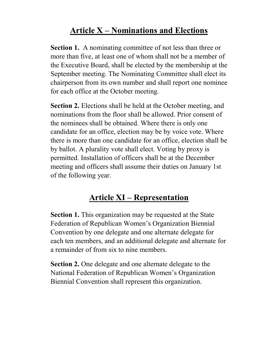# **Article X – Nominations and Elections**

**Section 1.** A nominating committee of not less than three or more than five, at least one of whom shall not be a member of the Executive Board, shall be elected by the membership at the September meeting. The Nominating Committee shall elect its chairperson from its own number and shall report one nominee for each office at the October meeting.

**Section 2.** Elections shall be held at the October meeting, and nominations from the floor shall be allowed. Prior consent of the nominees shall be obtained. Where there is only one candidate for an office, election may be by voice vote. Where there is more than one candidate for an office, election shall be by ballot. A plurality vote shall elect. Voting by proxy is permitted. Installation of officers shall be at the December meeting and officers shall assume their duties on January 1st of the following year.

# **Article XI – Representation**

**Section 1.** This organization may be requested at the State Federation of Republican Women's Organization Biennial Convention by one delegate and one alternate delegate for each ten members, and an additional delegate and alternate for a remainder of from six to nine members.

**Section 2.** One delegate and one alternate delegate to the National Federation of Republican Women's Organization Biennial Convention shall represent this organization.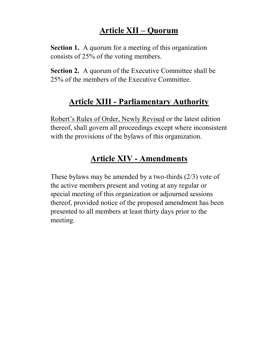# **Article XII – Quorum**

**Section 1.** A quorum for a meeting of this organization consists of 25% of the voting members.

**Section 2.** A quorum of the Executive Committee shall be 25% of the members of the Executive Committee.

## **Article XIII - Parliamentary Authority**

Robert's Rules of Order, Newly Revised or the latest edition thereof, shall govern all proceedings except where inconsistent with the provisions of the bylaws of this organization.

# **Article XIV - Amendments**

These bylaws may be amended by a two-thirds (2/3) vote of the active members present and voting at any regular or special meeting of this organization or adjourned sessions thereof, provided notice of the proposed amendment has been presented to all members at least thirty days prior to the meeting.